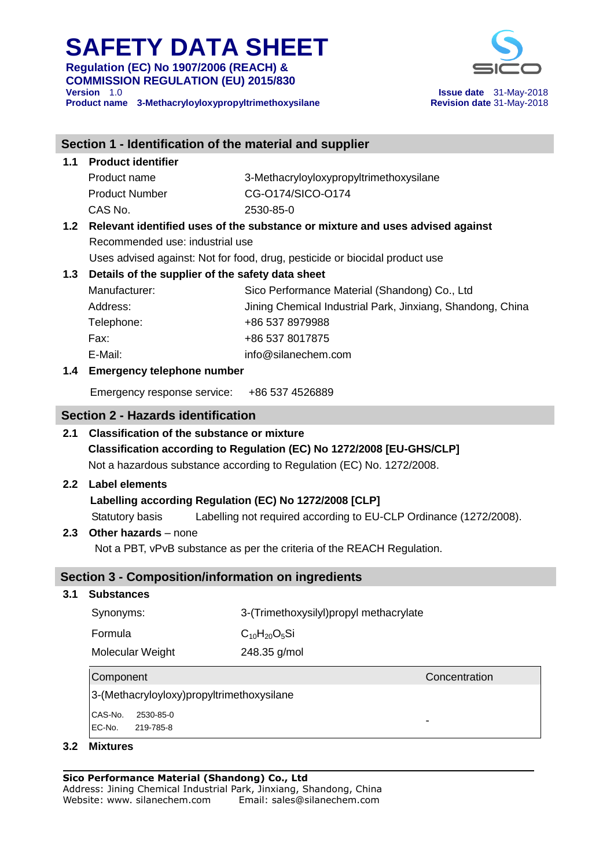**Regulation (EC) No 1907/2006 (REACH) & COMMISSION REGULATION (EU) 2015/830** 

**Product name 3-Methacryloyloxypropyltrimethoxysilane** 



**Issue date** 31-May-2018<br>**Revision date** 31-May-2018

| Section 1 - Identification of the material and supplier                              |                                                                             |                                                                                   |  |  |  |  |  |  |
|--------------------------------------------------------------------------------------|-----------------------------------------------------------------------------|-----------------------------------------------------------------------------------|--|--|--|--|--|--|
| 1.1                                                                                  | <b>Product identifier</b>                                                   |                                                                                   |  |  |  |  |  |  |
|                                                                                      | Product name                                                                | 3-Methacryloyloxypropyltrimethoxysilane                                           |  |  |  |  |  |  |
|                                                                                      | <b>Product Number</b>                                                       | CG-0174/SICO-0174                                                                 |  |  |  |  |  |  |
|                                                                                      | CAS No.                                                                     | 2530-85-0                                                                         |  |  |  |  |  |  |
|                                                                                      |                                                                             | 1.2 Relevant identified uses of the substance or mixture and uses advised against |  |  |  |  |  |  |
|                                                                                      | Recommended use: industrial use                                             |                                                                                   |  |  |  |  |  |  |
|                                                                                      | Uses advised against: Not for food, drug, pesticide or biocidal product use |                                                                                   |  |  |  |  |  |  |
| 1.3                                                                                  | Details of the supplier of the safety data sheet                            |                                                                                   |  |  |  |  |  |  |
|                                                                                      | Manufacturer:                                                               | Sico Performance Material (Shandong) Co., Ltd                                     |  |  |  |  |  |  |
|                                                                                      | Address:                                                                    | Jining Chemical Industrial Park, Jinxiang, Shandong, China                        |  |  |  |  |  |  |
|                                                                                      | Telephone:                                                                  | +86 537 8979988                                                                   |  |  |  |  |  |  |
|                                                                                      | Fax:                                                                        | +86 537 8017875                                                                   |  |  |  |  |  |  |
|                                                                                      | E-Mail:                                                                     | info@silanechem.com                                                               |  |  |  |  |  |  |
|                                                                                      | 1.4 Emergency telephone number                                              |                                                                                   |  |  |  |  |  |  |
|                                                                                      | Emergency response service: +86 537 4526889                                 |                                                                                   |  |  |  |  |  |  |
|                                                                                      | <b>Section 2 - Hazards identification</b>                                   |                                                                                   |  |  |  |  |  |  |
| 2.1                                                                                  | <b>Classification of the substance or mixture</b>                           |                                                                                   |  |  |  |  |  |  |
| Classification according to Regulation (EC) No 1272/2008 [EU-GHS/CLP]                |                                                                             |                                                                                   |  |  |  |  |  |  |
|                                                                                      |                                                                             | Not a hazardous substance according to Regulation (EC) No. 1272/2008.             |  |  |  |  |  |  |
| 2.2                                                                                  | <b>Label elements</b>                                                       |                                                                                   |  |  |  |  |  |  |
|                                                                                      | Labelling according Regulation (EC) No 1272/2008 [CLP]                      |                                                                                   |  |  |  |  |  |  |
| Labelling not required according to EU-CLP Ordinance (1272/2008).<br>Statutory basis |                                                                             |                                                                                   |  |  |  |  |  |  |
| 2.3                                                                                  | <b>Other hazards</b> – none                                                 |                                                                                   |  |  |  |  |  |  |
|                                                                                      | Not a PBT, vPvB substance as per the criteria of the REACH Regulation.      |                                                                                   |  |  |  |  |  |  |
|                                                                                      | <b>Section 3 - Composition/information on ingredients</b>                   |                                                                                   |  |  |  |  |  |  |
| 3.1<br><b>Substances</b>                                                             |                                                                             |                                                                                   |  |  |  |  |  |  |
|                                                                                      | Synonyms:                                                                   | 3-(Trimethoxysilyl)propyl methacrylate                                            |  |  |  |  |  |  |
|                                                                                      | Formula                                                                     | $C_{10}H_{20}O_5Si$                                                               |  |  |  |  |  |  |
|                                                                                      | Molecular Weight                                                            | 248.35 g/mol                                                                      |  |  |  |  |  |  |
| Component<br>Concentration                                                           |                                                                             |                                                                                   |  |  |  |  |  |  |
|                                                                                      | 3-(Methacryloyloxy)propyltrimethoxysilane                                   |                                                                                   |  |  |  |  |  |  |
|                                                                                      | CAS-No. 2530-85-0                                                           |                                                                                   |  |  |  |  |  |  |

-

EC-No. 219-785-8

#### **3.2 Mixtures**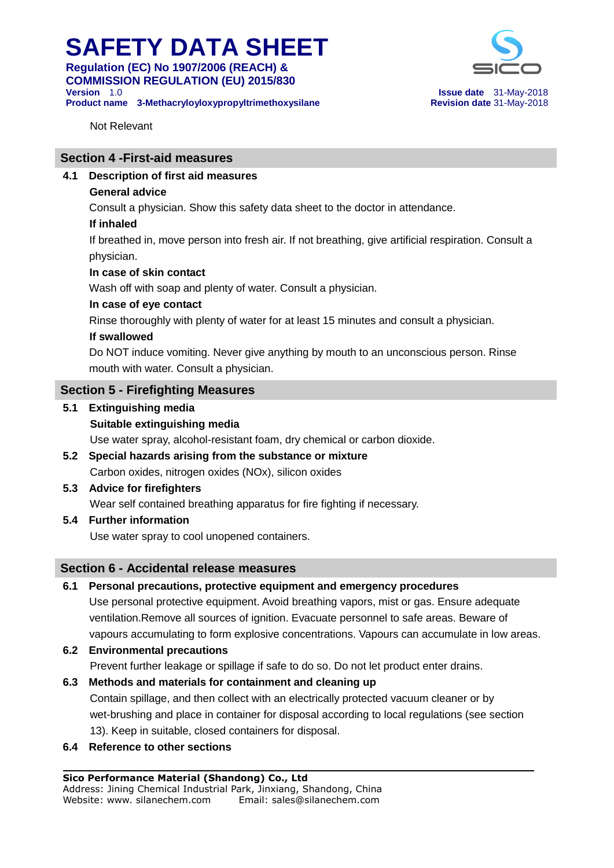**Regulation (EC) No 1907/2006 (REACH) & COMMISSION REGULATION (EU) 2015/830 Version** 1.0 **Issue date** 31-May-2018

**Product name 3-Methacryloyloxypropyltrimethoxysilane Revision date** 31-May-2018



Not Relevant

#### **Section 4 -First-aid measures**

**4.1 Description of first aid measures**

#### **General advice**

Consult a physician. Show this safety data sheet to the doctor in attendance.

#### **If inhaled**

 If breathed in, move person into fresh air. If not breathing, give artificial respiration. Consult a physician.

#### **In case of skin contact**

Wash off with soap and plenty of water. Consult a physician.

#### **In case of eye contact**

Rinse thoroughly with plenty of water for at least 15 minutes and consult a physician.

#### **If swallowed**

 Do NOT induce vomiting. Never give anything by mouth to an unconscious person. Rinse mouth with water. Consult a physician.

#### **Section 5 - Firefighting Measures**

**5.1 Extinguishing media**

### **Suitable extinguishing media**

Use water spray, alcohol-resistant foam, dry chemical or carbon dioxide.

**5.2 Special hazards arising from the substance or mixture** Carbon oxides, nitrogen oxides (NOx), silicon oxides

### **5.3 Advice for firefighters**

Wear self contained breathing apparatus for fire fighting if necessary.

**5.4 Further information**

Use water spray to cool unopened containers.

#### **Section 6 - Accidental release measures**

#### **6.1 Personal precautions, protective equipment and emergency procedures**

 Use personal protective equipment. Avoid breathing vapors, mist or gas. Ensure adequate ventilation.Remove all sources of ignition. Evacuate personnel to safe areas. Beware of vapours accumulating to form explosive concentrations. Vapours can accumulate in low areas.

- **6.2 Environmental precautions** Prevent further leakage or spillage if safe to do so. Do not let product enter drains.
- **6.3 Methods and materials for containment and cleaning up** Contain spillage, and then collect with an electrically protected vacuum cleaner or by wet-brushing and place in container for disposal according to local regulations (see section 13). Keep in suitable, closed containers for disposal.
- **6.4 Reference to other sections**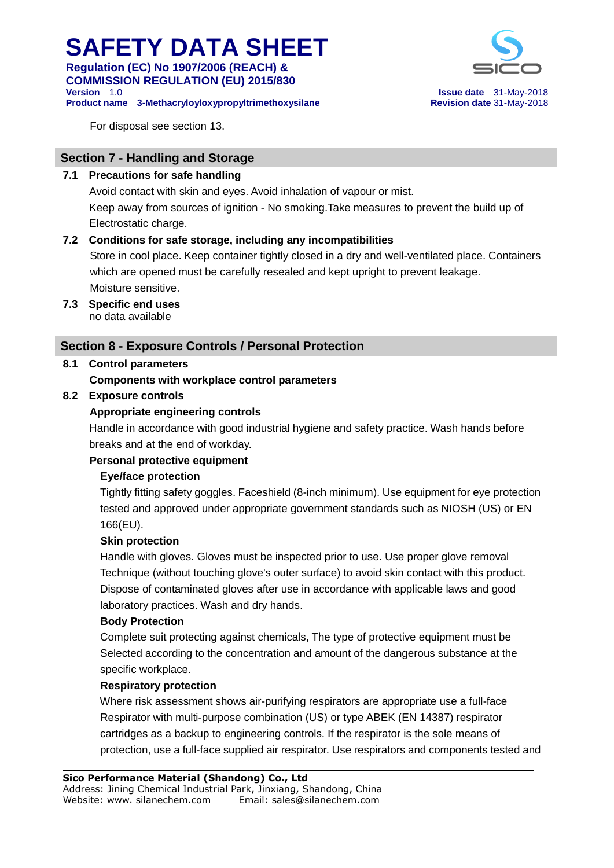**Regulation (EC) No 1907/2006 (REACH) & COMMISSION REGULATION (EU) 2015/830 Version** 1.0 **Issue date** 31-May-2018

**Product name 3-Methacryloyloxypropyltrimethoxysilane Revision date** 31-May-2018



For disposal see section 13.

### **Section 7 - Handling and Storage**

#### **7.1 Precautions for safe handling**

 Avoid contact with skin and eyes. Avoid inhalation of vapour or mist. Keep away from sources of ignition - No smoking.Take measures to prevent the build up of Electrostatic charge.

### **7.2 Conditions for safe storage, including any incompatibilities**

 Store in cool place. Keep container tightly closed in a dry and well-ventilated place. Containers which are opened must be carefully resealed and kept upright to prevent leakage. Moisture sensitive.

**7.3 Specific end uses** no data available

### **Section 8 - Exposure Controls / Personal Protection**

### **8.1 Control parameters**

 **Components with workplace control parameters**

#### **8.2 Exposure controls**

### **Appropriate engineering controls**

 Handle in accordance with good industrial hygiene and safety practice. Wash hands before breaks and at the end of workday.

#### **Personal protective equipment**

#### **Eye/face protection**

 Tightly fitting safety goggles. Faceshield (8-inch minimum). Use equipment for eye protection tested and approved under appropriate government standards such as NIOSH (US) or EN 166(EU).

#### **Skin protection**

 Handle with gloves. Gloves must be inspected prior to use. Use proper glove removal Technique (without touching glove's outer surface) to avoid skin contact with this product. Dispose of contaminated gloves after use in accordance with applicable laws and good laboratory practices. Wash and dry hands.

#### **Body Protection**

 Complete suit protecting against chemicals, The type of protective equipment must be Selected according to the concentration and amount of the dangerous substance at the specific workplace.

#### **Respiratory protection**

 Where risk assessment shows air-purifying respirators are appropriate use a full-face Respirator with multi-purpose combination (US) or type ABEK (EN 14387) respirator cartridges as a backup to engineering controls. If the respirator is the sole means of protection, use a full-face supplied air respirator. Use respirators and components tested and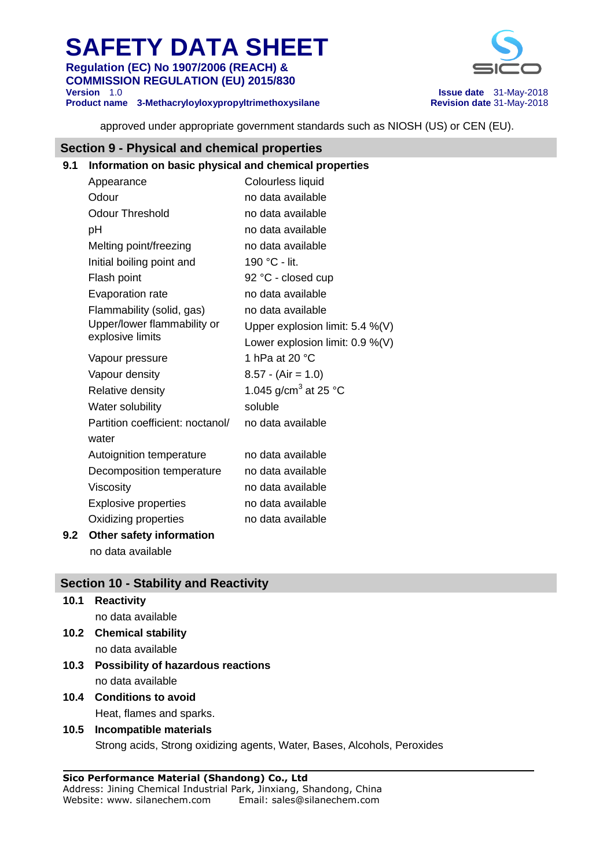**Regulation (EC) No 1907/2006 (REACH) & COMMISSION REGULATION (EU) 2015/830 Version** 1.0 **Issue date** 31-May-2018

**Product name 3-Methacryloyloxypropyltrimethoxysilane Revision date** 31-May-2018



approved under appropriate government standards such as NIOSH (US) or CEN (EU).

#### **Section 9 - Physical and chemical properties**

### **9.1 Information on basic physical and chemical properties**

| Appearance                       | Colourless liquid                |
|----------------------------------|----------------------------------|
| Odour                            | no data available                |
| <b>Odour Threshold</b>           | no data available                |
| рH                               | no data available                |
| Melting point/freezing           | no data available                |
| Initial boiling point and        | 190 °C - lit.                    |
| Flash point                      | 92 °C - closed cup               |
| <b>Evaporation rate</b>          | no data available                |
| Flammability (solid, gas)        | no data available                |
| Upper/lower flammability or      | Upper explosion limit: 5.4 %(V)  |
| explosive limits                 | Lower explosion limit: 0.9 %(V)  |
| Vapour pressure                  | 1 hPa at 20 $\degree$ C          |
| Vapour density                   | $8.57 - (Air = 1.0)$             |
| Relative density                 | 1.045 g/cm <sup>3</sup> at 25 °C |
| Water solubility                 | soluble                          |
| Partition coefficient: noctanol/ | no data available                |
| water                            |                                  |
| Autoignition temperature         | no data available                |
| Decomposition temperature        | no data available                |
| Viscosity                        | no data available                |
| <b>Explosive properties</b>      | no data available                |
| Oxidizing properties             | no data available                |
|                                  |                                  |

#### **9.2 Other safety information** no data available

### **Section 10 - Stability and Reactivity**

**10.1 Reactivity** no data available

- **10.2 Chemical stability** no data available
- **10.3 Possibility of hazardous reactions** no data available
- **10.4 Conditions to avoid** Heat, flames and sparks.

#### **10.5 Incompatible materials** Strong acids, Strong oxidizing agents, Water, Bases, Alcohols, Peroxides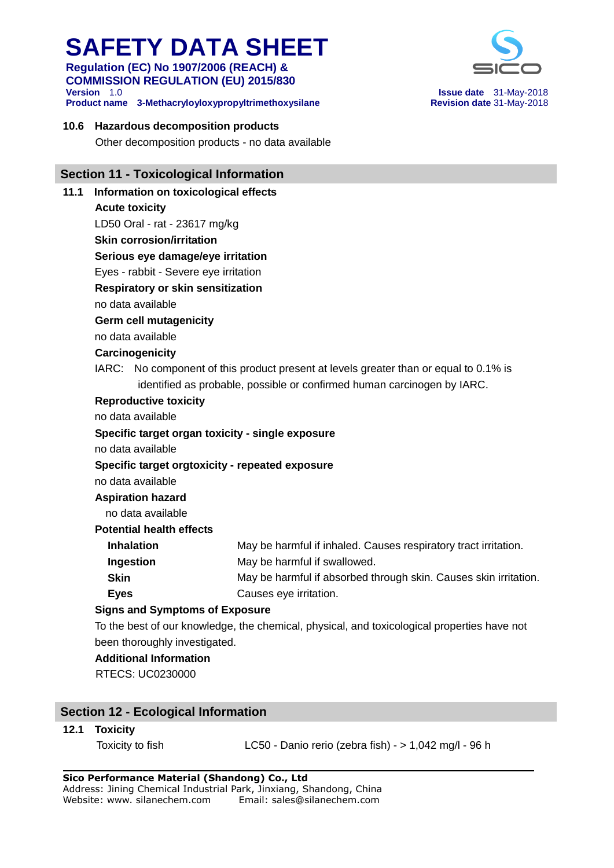**Regulation (EC) No 1907/2006 (REACH) & COMMISSION REGULATION (EU) 2015/830 Version** 1.0 **Issue date** 31-May-2018

**Product name 3-Methacryloyloxypropyltrimethoxysilane Revision date** 31-May-2018

#### **10.6 Hazardous decomposition products**

Other decomposition products - no data available

#### **Section 11 - Toxicological Information**

**11.1 Information on toxicological effects Acute toxicity** LD50 Oral - rat - 23617 mg/kg **Skin corrosion/irritation Serious eye damage/eye irritation** Eyes - rabbit - Severe eye irritation  **Respiratory or skin sensitization** no data available  **Germ cell mutagenicity** no data available  **Carcinogenicity** IARC: No component of this product present at levels greater than or equal to 0.1% is identified as probable, possible or confirmed human carcinogen by IARC.  **Reproductive toxicity** no data available  **Specific target organ toxicity - single exposure** no data available  **Specific target orgtoxicity - repeated exposure** no data available  **Aspiration hazard** no data available **Potential health effects Inhalation May be harmful if inhaled. Causes respiratory tract irritation. Ingestion** May be harmful if swallowed. **Skin** May be harmful if absorbed through skin. Causes skin irritation. **Eves Causes eye irritation. Signs and Symptoms of Exposure** To the best of our knowledge, the chemical, physical, and toxicological properties have not been thoroughly investigated.  **Additional Information** RTECS: UC0230000

#### **Section 12 - Ecological Information**

#### **12.1 Toxicity**

Toxicity to fish LC50 - Danio rerio (zebra fish) - > 1,042 mg/l - 96 h

**Sico Performance Material (Shandong) Co., Ltd** Address: Jining Chemical Industrial Park, Jinxiang, Shandong, China Website: www. silanechem.com Email: sales@silanechem.com

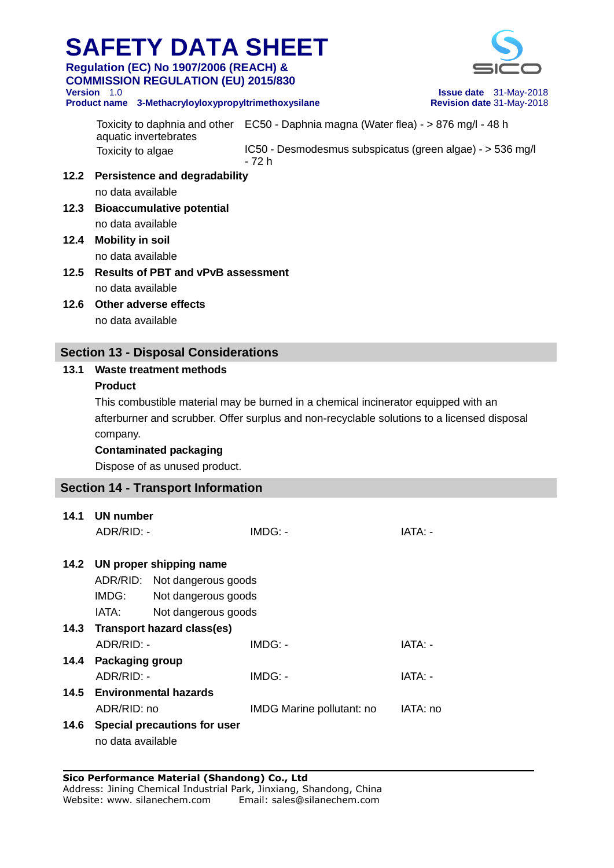**Regulation (EC) No 1907/2006 (REACH) & COMMISSION REGULATION (EU) 2015/830 Version** 1.0 **Issue date** 31-May-2018

**Product name 3-Methacryloyloxypropyltrimethoxysilane Revision date** 31-May-2018



Toxicity to daphnia and other EC50 - Daphnia magna (Water flea) - > 876 mg/l - 48 h aquatic invertebrates Toxicity to algae **IC50 - Desmodesmus subspicatus (green algae) - > 536 mg/l** - 72 h **12.2 Persistence and degradability** no data available **12.3 Bioaccumulative potential**

no data available

- **12.4 Mobility in soil** no data available
- **12.5 Results of PBT and vPvB assessment** no data available
- **12.6 Other adverse effects** no data available

### **Section 13 - Disposal Considerations**

### **13.1 Waste treatment methods**

#### **Product**

This combustible material may be burned in a chemical incinerator equipped with an afterburner and scrubber. Offer surplus and non-recyclable solutions to a licensed disposal company.

 **Contaminated packaging**

Dispose of as unused product.

### **Section 14 - Transport Information**

|      | 14.1 UN number                  |                     |                           |          |  |
|------|---------------------------------|---------------------|---------------------------|----------|--|
|      | ADR/RID: -                      |                     | IMDG: -                   | IATA: -  |  |
|      |                                 |                     |                           |          |  |
|      | 14.2 UN proper shipping name    |                     |                           |          |  |
|      | ADR/RID: Not dangerous goods    |                     |                           |          |  |
|      | IMDG:                           | Not dangerous goods |                           |          |  |
|      | IATA:<br>Not dangerous goods    |                     |                           |          |  |
|      | 14.3 Transport hazard class(es) |                     |                           |          |  |
|      | ADR/RID: -                      |                     | $IMDG: -$                 | IATA: -  |  |
|      | 14.4 Packaging group            |                     |                           |          |  |
|      | ADR/RID: -                      |                     | IMDG: -                   | IATA: -  |  |
|      | 14.5 Environmental hazards      |                     |                           |          |  |
|      | ADR/RID: no                     |                     | IMDG Marine pollutant: no | IATA: no |  |
| 14.6 | Special precautions for user    |                     |                           |          |  |
|      | no data available               |                     |                           |          |  |